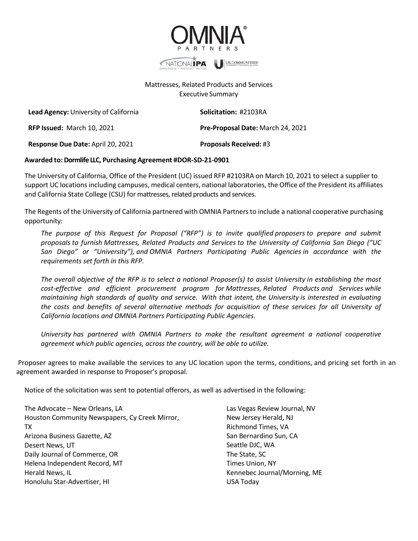

## Mattresses, Related Products and Services Executive Summary

**Lead Agency:** University of California **Solicitation:** #2103RA

**RFP Issued:** March 10, 2021 **Pre-Proposal Date:** March 24, 2021

**Response Due Date:** April 20, 2021 **Proposals Received:** #3

## **Awarded to: Dormlife LLC, Purchasing Agreement #DOR-SD-21-0901**

The University of California, Office of the President (UC) issued RFP #2103RA on March 10, 2021 to select a supplier to support UC locations including campuses, medical centers, national laboratories, the Office of the President its affiliates and California State College (CSU) for mattresses, related products and services.

The Regents of the University of California partnered with OMNIA Partnersto include a national cooperative purchasing opportunity:

*The purpose of this Request for Proposal ("RFP") is to invite qualified proposers to prepare and submit proposals to furnish Mattresses, Related Products and Services to the University of California San Diego ("UC San Diego" or "University"), and OMNIA Partners Participating Public Agencies in accordance with the requirements set forth in this RFP.*

*The overall objective of the RFP is to select a national Proposer(s) to assist University in establishing the most cost-effective and efficient procurement program for Mattresses, Related Products and Services while maintaining high standards of quality and service. With that intent, the University is interested in evaluating the costs and benefits of several alternative methods for acquisition of these services for all University of California locations and OMNIA Partners Participating Public Agencies.*

*University has partnered with OMNIA Partners to make the resultant agreement a national cooperative agreement which public agencies, across the country, will be able to utilize.*

Proposer agrees to make available the services to any UC location upon the terms, conditions, and pricing set forth in an agreement awarded in response to Proposer's proposal.

Notice of the solicitation was sent to potential offerors, as well as advertised in the following:

| The Advocate - New Orleans, LA                 | Las Vegas Review Journal, NV |
|------------------------------------------------|------------------------------|
| Houston Community Newspapers, Cy Creek Mirror, | New Jersey Herald, NJ        |
| TX                                             | Richmond Times, VA           |
| Arizona Business Gazette, AZ                   | San Bernardino Sun, CA       |
| Desert News, UT                                | Seattle DJC, WA              |
| Daily Journal of Commerce, OR                  | The State, SC                |
| Helena Independent Record, MT                  | Times Union, NY              |
| Herald News, IL                                | Kennebec Journal/Morning, ME |
| Honolulu Star-Advertiser, HI                   | USA Today                    |